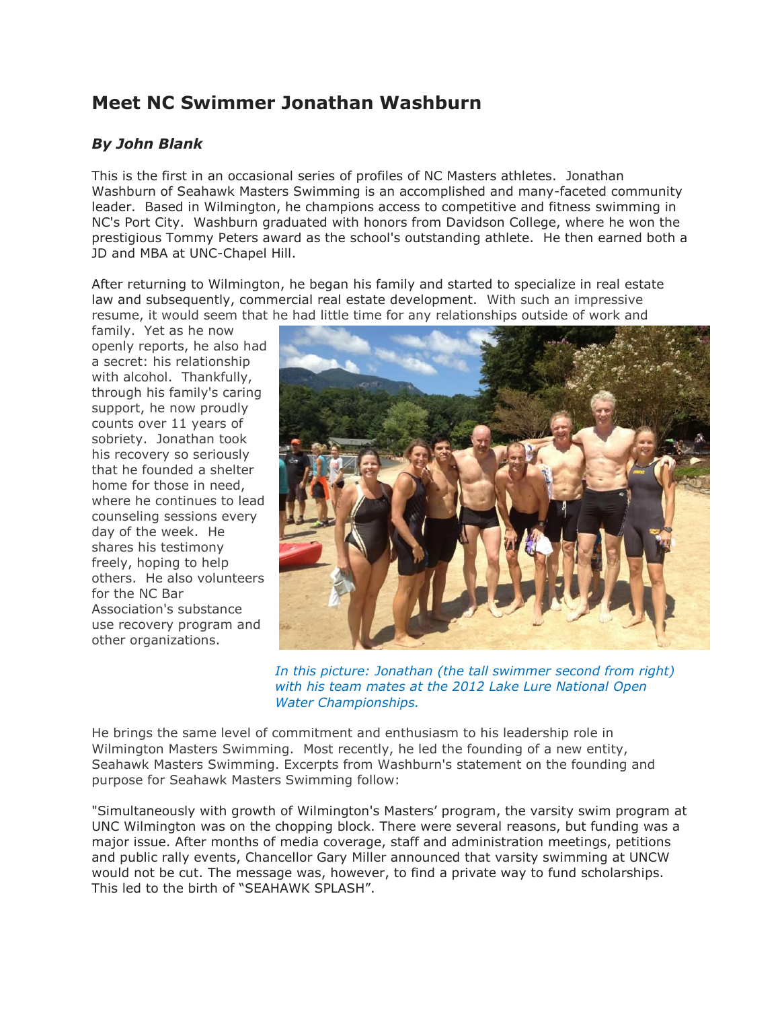## **Meet NC Swimmer Jonathan Washburn**

## *By John Blank*

This is the first in an occasional series of profiles of NC Masters athletes. Jonathan Washburn of Seahawk Masters Swimming is an accomplished and many-faceted community leader. Based in Wilmington, he champions access to competitive and fitness swimming in NC's Port City. Washburn graduated with honors from Davidson College, where he won the prestigious Tommy Peters award as the school's outstanding athlete. He then earned both a JD and MBA at UNC-Chapel Hill.

After returning to Wilmington, he began his family and started to specialize in real estate law and subsequently, commercial real estate development. With such an impressive resume, it would seem that he had little time for any relationships outside of work and

family. Yet as he now openly reports, he also had a secret: his relationship with alcohol. Thankfully, through his family's caring support, he now proudly counts over 11 years of sobriety. Jonathan took his recovery so seriously that he founded a shelter home for those in need, where he continues to lead counseling sessions every day of the week. He shares his testimony freely, hoping to help others. He also volunteers for the NC Bar Association's substance use recovery program and other organizations.



*In this picture: Jonathan (the tall swimmer second from right) with his team mates at the 2012 Lake Lure National Open Water Championships.*

He brings the same level of commitment and enthusiasm to his leadership role in Wilmington Masters Swimming. Most recently, he led the founding of a new entity, Seahawk Masters Swimming. Excerpts from Washburn's statement on the founding and purpose for Seahawk Masters Swimming follow:

"Simultaneously with growth of Wilmington's Masters' program, the varsity swim program at UNC Wilmington was on the chopping block. There were several reasons, but funding was a major issue. After months of media coverage, staff and administration meetings, petitions and public rally events, Chancellor Gary Miller announced that varsity swimming at UNCW would not be cut. The message was, however, to find a private way to fund scholarships. This led to the birth of "SEAHAWK SPLASH".